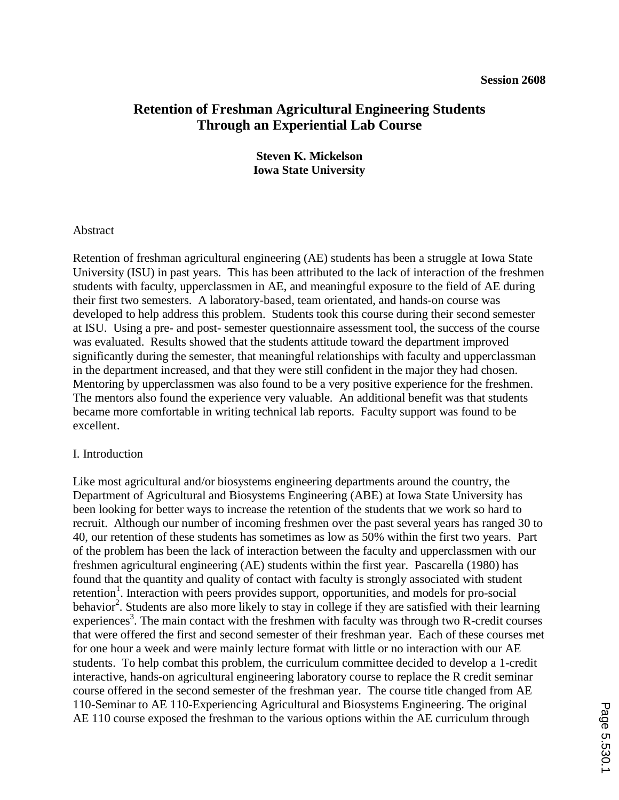# **Retention of Freshman Agricultural Engineering Students Through an Experiential Lab Course**

**Steven K. Mickelson Iowa State University**

### Abstract

Retention of freshman agricultural engineering (AE) students has been a struggle at Iowa State University (ISU) in past years. This has been attributed to the lack of interaction of the freshmen students with faculty, upperclassmen in AE, and meaningful exposure to the field of AE during their first two semesters. A laboratory-based, team orientated, and hands-on course was developed to help address this problem. Students took this course during their second semester at ISU. Using a pre- and post- semester questionnaire assessment tool, the success of the course was evaluated. Results showed that the students attitude toward the department improved significantly during the semester, that meaningful relationships with faculty and upperclassman in the department increased, and that they were still confident in the major they had chosen. Mentoring by upperclassmen was also found to be a very positive experience for the freshmen. The mentors also found the experience very valuable. An additional benefit was that students became more comfortable in writing technical lab reports. Faculty support was found to be excellent.

#### I. Introduction

Like most agricultural and/or biosystems engineering departments around the country, the Department of Agricultural and Biosystems Engineering (ABE) at Iowa State University has been looking for better ways to increase the retention of the students that we work so hard to recruit. Although our number of incoming freshmen over the past several years has ranged 30 to 40, our retention of these students has sometimes as low as 50% within the first two years. Part of the problem has been the lack of interaction between the faculty and upperclassmen with our freshmen agricultural engineering (AE) students within the first year. Pascarella (1980) has found that the quantity and quality of contact with faculty is strongly associated with student retention<sup>1</sup>. Interaction with peers provides support, opportunities, and models for pro-social behavior<sup>2</sup>. Students are also more likely to stay in college if they are satisfied with their learning experiences<sup>3</sup>. The main contact with the freshmen with faculty was through two R-credit courses that were offered the first and second semester of their freshman year. Each of these courses met for one hour a week and were mainly lecture format with little or no interaction with our AE students. To help combat this problem, the curriculum committee decided to develop a 1-credit interactive, hands-on agricultural engineering laboratory course to replace the R credit seminar course offered in the second semester of the freshman year. The course title changed from AE 110-Seminar to AE 110-Experiencing Agricultural and Biosystems Engineering. The original AE 110 course exposed the freshman to the various options within the AE curriculum through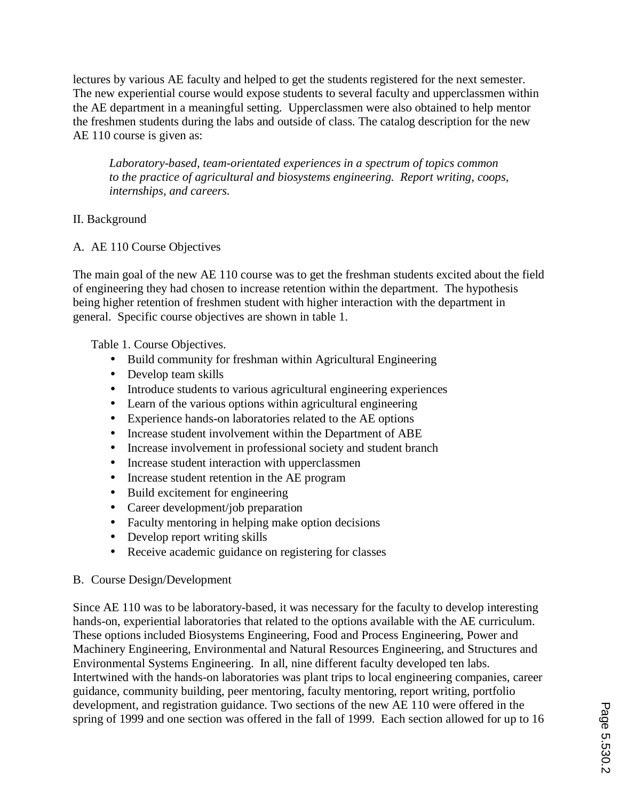lectures by various AE faculty and helped to get the students registered for the next semester. The new experiential course would expose students to several faculty and upperclassmen within the AE department in a meaningful setting. Upperclassmen were also obtained to help mentor the freshmen students during the labs and outside of class. The catalog description for the new AE 110 course is given as:

*Laboratory-based, team-orientated experiences in a spectrum of topics common to the practice of agricultural and biosystems engineering. Report writing, coops, internships, and careers.*

# II. Background

# A. AE 110 Course Objectives

The main goal of the new AE 110 course was to get the freshman students excited about the field of engineering they had chosen to increase retention within the department. The hypothesis being higher retention of freshmen student with higher interaction with the department in general. Specific course objectives are shown in table 1.

Table 1. Course Objectives.

- Build community for freshman within Agricultural Engineering
- Develop team skills
- Introduce students to various agricultural engineering experiences
- Learn of the various options within agricultural engineering
- Experience hands-on laboratories related to the AE options
- Increase student involvement within the Department of ABE
- Increase involvement in professional society and student branch
- Increase student interaction with upperclassmen
- Increase student retention in the AE program
- Build excitement for engineering
- Career development/job preparation
- Faculty mentoring in helping make option decisions
- Develop report writing skills
- Receive academic guidance on registering for classes
- B. Course Design/Development

Since AE 110 was to be laboratory-based, it was necessary for the faculty to develop interesting hands-on, experiential laboratories that related to the options available with the AE curriculum. These options included Biosystems Engineering, Food and Process Engineering, Power and Machinery Engineering, Environmental and Natural Resources Engineering, and Structures and Environmental Systems Engineering. In all, nine different faculty developed ten labs. Intertwined with the hands-on laboratories was plant trips to local engineering companies, career guidance, community building, peer mentoring, faculty mentoring, report writing, portfolio development, and registration guidance. Two sections of the new AE 110 were offered in the spring of 1999 and one section was offered in the fall of 1999. Each section allowed for up to 16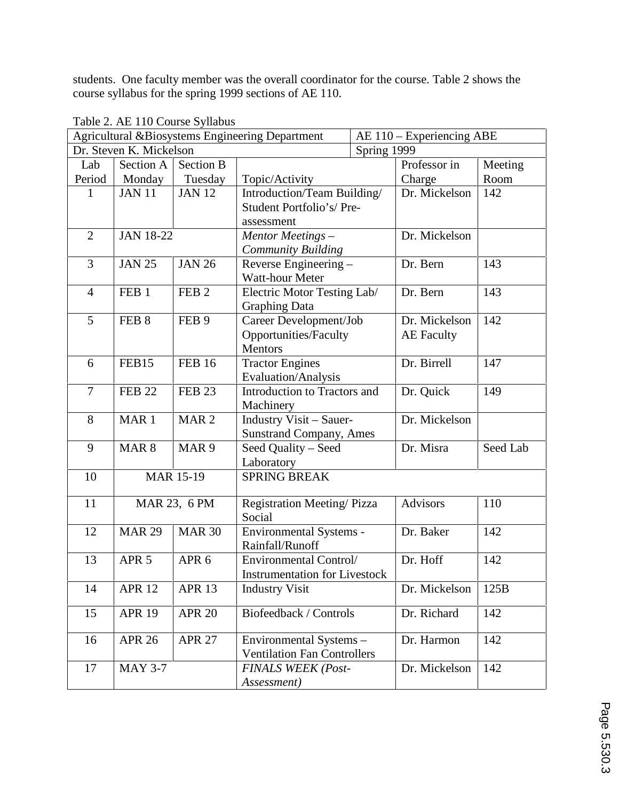students. One faculty member was the overall coordinator for the course. Table 2 shows the course syllabus for the spring 1999 sections of AE 110.

| Agricultural &Biosystems Engineering Department |                                    |                  |                                      |             | AE 110 - Experiencing ABE |          |  |  |
|-------------------------------------------------|------------------------------------|------------------|--------------------------------------|-------------|---------------------------|----------|--|--|
| Dr. Steven K. Mickelson                         |                                    |                  |                                      | Spring 1999 |                           |          |  |  |
| Lab                                             | Section A                          | <b>Section B</b> |                                      |             | Professor in              | Meeting  |  |  |
| Period                                          | Monday                             | Tuesday          | Topic/Activity                       |             | Charge                    | Room     |  |  |
| 1                                               | <b>JAN 11</b>                      | <b>JAN 12</b>    | Introduction/Team Building/          |             | Dr. Mickelson             | 142      |  |  |
|                                                 |                                    |                  | Student Portfolio's/Pre-             |             |                           |          |  |  |
|                                                 |                                    |                  | assessment                           |             |                           |          |  |  |
|                                                 | $\overline{2}$<br><b>JAN 18-22</b> |                  | Mentor Meetings-                     |             | Dr. Mickelson             |          |  |  |
|                                                 |                                    |                  | <b>Community Building</b>            |             |                           |          |  |  |
| 3                                               | <b>JAN 25</b>                      | <b>JAN 26</b>    | Reverse Engineering -                |             | Dr. Bern                  | 143      |  |  |
|                                                 |                                    |                  | Watt-hour Meter                      |             |                           |          |  |  |
| $\overline{4}$                                  | FEB <sub>1</sub>                   | FEB <sub>2</sub> | Electric Motor Testing Lab/          |             | Dr. Bern                  | 143      |  |  |
|                                                 |                                    |                  | <b>Graphing Data</b>                 |             |                           |          |  |  |
| 5                                               | FEB <sub>8</sub>                   | FEB <sub>9</sub> | Career Development/Job               |             | Dr. Mickelson             | 142      |  |  |
|                                                 |                                    |                  | Opportunities/Faculty                |             | <b>AE</b> Faculty         |          |  |  |
|                                                 |                                    |                  | Mentors                              |             |                           |          |  |  |
| 6                                               | FEB15                              | <b>FEB 16</b>    | <b>Tractor Engines</b>               |             | Dr. Birrell               | 147      |  |  |
|                                                 |                                    |                  | Evaluation/Analysis                  |             |                           |          |  |  |
| $\overline{7}$                                  | <b>FEB 22</b>                      | <b>FEB 23</b>    | Introduction to Tractors and         |             | Dr. Quick                 | 149      |  |  |
|                                                 |                                    |                  | Machinery                            |             |                           |          |  |  |
| 8                                               | MAR <sub>1</sub>                   | MAR <sub>2</sub> | <b>Industry Visit - Sauer-</b>       |             | Dr. Mickelson             |          |  |  |
|                                                 |                                    |                  | <b>Sunstrand Company, Ames</b>       |             |                           |          |  |  |
| 9                                               | MAR <sub>8</sub>                   | MAR <sub>9</sub> | Seed Quality - Seed                  |             | Dr. Misra                 | Seed Lab |  |  |
|                                                 |                                    |                  | Laboratory                           |             |                           |          |  |  |
| 10                                              | <b>MAR 15-19</b>                   |                  | <b>SPRING BREAK</b>                  |             |                           |          |  |  |
|                                                 |                                    |                  |                                      |             |                           |          |  |  |
| 11                                              | MAR 23, 6 PM                       |                  | Registration Meeting/Pizza           |             | <b>Advisors</b>           | 110      |  |  |
|                                                 |                                    |                  | Social                               |             |                           |          |  |  |
| 12                                              | <b>MAR 29</b>                      | <b>MAR 30</b>    | Environmental Systems -              |             | Dr. Baker                 | 142      |  |  |
|                                                 |                                    |                  | Rainfall/Runoff                      |             |                           |          |  |  |
| 13                                              | APR <sub>5</sub>                   | APR <sub>6</sub> | Environmental Control/               |             | Dr. Hoff                  | 142      |  |  |
|                                                 |                                    |                  | <b>Instrumentation for Livestock</b> |             |                           |          |  |  |
| 14                                              | <b>APR 12</b>                      | <b>APR 13</b>    | <b>Industry Visit</b>                |             | Dr. Mickelson             | 125B     |  |  |
| 15                                              | <b>APR 19</b>                      | <b>APR 20</b>    | Biofeedback / Controls               |             | Dr. Richard               | 142      |  |  |
|                                                 |                                    |                  |                                      |             |                           |          |  |  |
| 16                                              | <b>APR 26</b><br><b>APR 27</b>     |                  | Environmental Systems -              |             |                           | 142      |  |  |
|                                                 |                                    |                  | <b>Ventilation Fan Controllers</b>   |             | Dr. Harmon                |          |  |  |
| 17                                              | <b>MAY 3-7</b>                     |                  | <b>FINALS WEEK (Post-</b>            |             | Dr. Mickelson             | 142      |  |  |
|                                                 |                                    |                  | Assessment)                          |             |                           |          |  |  |

Table 2. AE 110 Course Syllabus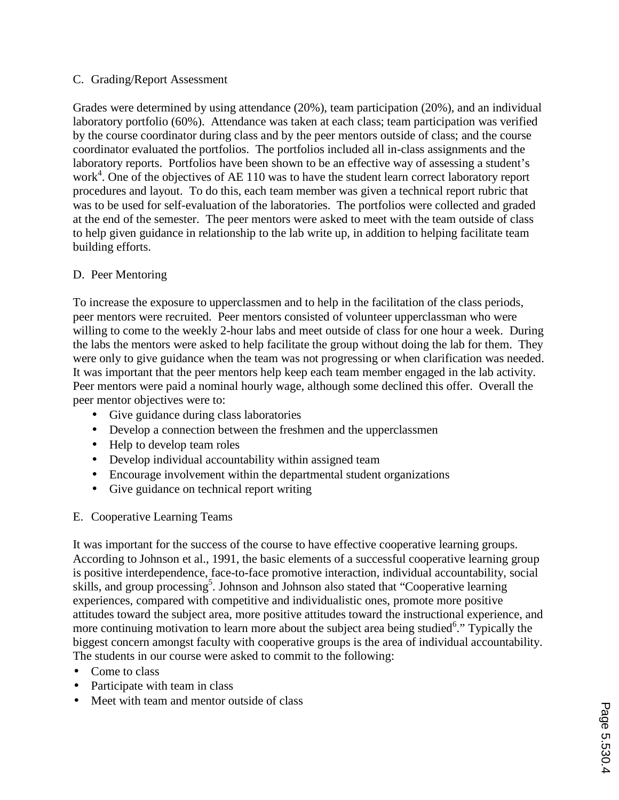### C. Grading/Report Assessment

Grades were determined by using attendance (20%), team participation (20%), and an individual laboratory portfolio (60%). Attendance was taken at each class; team participation was verified by the course coordinator during class and by the peer mentors outside of class; and the course coordinator evaluated the portfolios. The portfolios included all in-class assignments and the laboratory reports. Portfolios have been shown to be an effective way of assessing a student's work<sup>4</sup>. One of the objectives of AE 110 was to have the student learn correct laboratory report procedures and layout. To do this, each team member was given a technical report rubric that was to be used for self-evaluation of the laboratories. The portfolios were collected and graded at the end of the semester. The peer mentors were asked to meet with the team outside of class to help given guidance in relationship to the lab write up, in addition to helping facilitate team building efforts.

# D. Peer Mentoring

To increase the exposure to upperclassmen and to help in the facilitation of the class periods, peer mentors were recruited. Peer mentors consisted of volunteer upperclassman who were willing to come to the weekly 2-hour labs and meet outside of class for one hour a week. During the labs the mentors were asked to help facilitate the group without doing the lab for them. They were only to give guidance when the team was not progressing or when clarification was needed. It was important that the peer mentors help keep each team member engaged in the lab activity. Peer mentors were paid a nominal hourly wage, although some declined this offer. Overall the peer mentor objectives were to:

- Give guidance during class laboratories
- Develop a connection between the freshmen and the upperclassmen
- Help to develop team roles
- Develop individual accountability within assigned team
- Encourage involvement within the departmental student organizations
- Give guidance on technical report writing

# E. Cooperative Learning Teams

It was important for the success of the course to have effective cooperative learning groups. According to Johnson et al., 1991, the basic elements of a successful cooperative learning group is positive interdependence, face-to-face promotive interaction, individual accountability, social skills, and group processing<sup>5</sup>. Johnson and Johnson also stated that "Cooperative learning experiences, compared with competitive and individualistic ones, promote more positive attitudes toward the subject area, more positive attitudes toward the instructional experience, and more continuing motivation to learn more about the subject area being studied<sup>6</sup>." Typically the biggest concern amongst faculty with cooperative groups is the area of individual accountability. The students in our course were asked to commit to the following:

- Come to class
- Participate with team in class
- Meet with team and mentor outside of class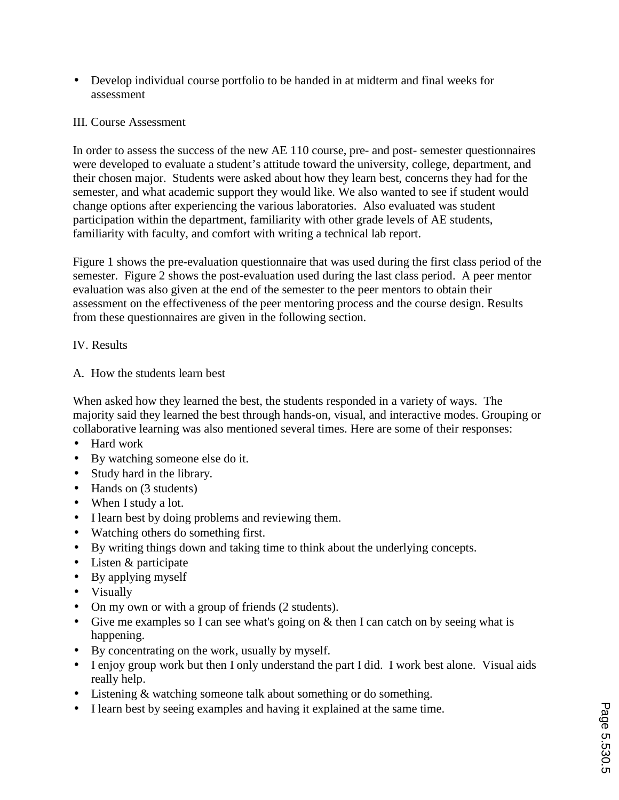• Develop individual course portfolio to be handed in at midterm and final weeks for assessment

# III. Course Assessment

In order to assess the success of the new AE 110 course, pre- and post- semester questionnaires were developed to evaluate a student's attitude toward the university, college, department, and their chosen major. Students were asked about how they learn best, concerns they had for the semester, and what academic support they would like. We also wanted to see if student would change options after experiencing the various laboratories. Also evaluated was student participation within the department, familiarity with other grade levels of AE students, familiarity with faculty, and comfort with writing a technical lab report.

Figure 1 shows the pre-evaluation questionnaire that was used during the first class period of the semester. Figure 2 shows the post-evaluation used during the last class period. A peer mentor evaluation was also given at the end of the semester to the peer mentors to obtain their assessment on the effectiveness of the peer mentoring process and the course design. Results from these questionnaires are given in the following section.

### IV. Results

A. How the students learn best

When asked how they learned the best, the students responded in a variety of ways. The majority said they learned the best through hands-on, visual, and interactive modes. Grouping or collaborative learning was also mentioned several times. Here are some of their responses:

- Hard work
- By watching someone else do it.
- Study hard in the library.
- Hands on (3 students)
- When I study a lot.
- I learn best by doing problems and reviewing them.
- Watching others do something first.
- By writing things down and taking time to think about the underlying concepts.
- Listen & participate
- By applying myself
- Visually
- On my own or with a group of friends (2 students).
- Give me examples so I can see what's going on & then I can catch on by seeing what is happening.
- By concentrating on the work, usually by myself.
- I enjoy group work but then I only understand the part I did. I work best alone. Visual aids really help.
- Listening & watching someone talk about something or do something.
- I learn best by seeing examples and having it explained at the same time.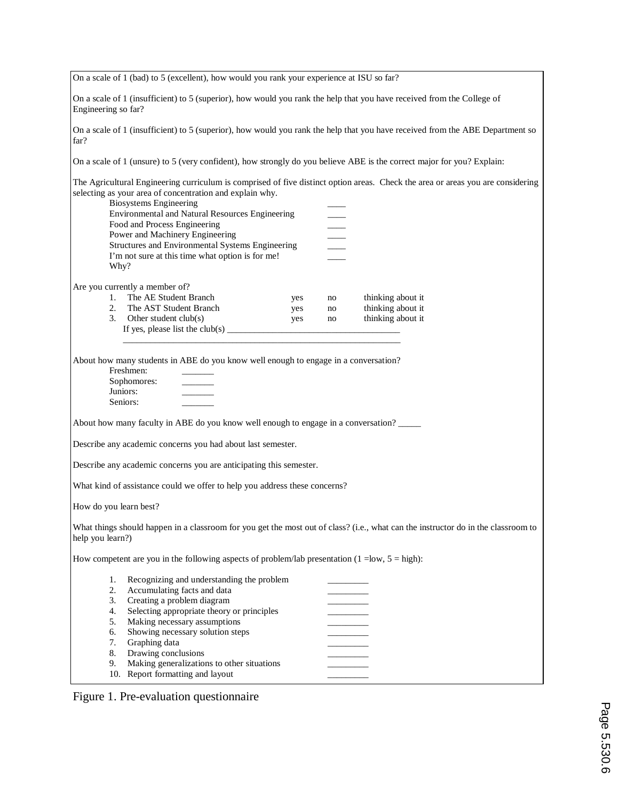| On a scale of 1 (bad) to 5 (excellent), how would you rank your experience at ISU so far?                                                                                                                                     |                                                                                                                                                                                                                                                                                                                                                                                                                      |                   |                |                                                                                                                                 |  |  |  |
|-------------------------------------------------------------------------------------------------------------------------------------------------------------------------------------------------------------------------------|----------------------------------------------------------------------------------------------------------------------------------------------------------------------------------------------------------------------------------------------------------------------------------------------------------------------------------------------------------------------------------------------------------------------|-------------------|----------------|---------------------------------------------------------------------------------------------------------------------------------|--|--|--|
| On a scale of 1 (insufficient) to 5 (superior), how would you rank the help that you have received from the College of<br>Engineering so far?                                                                                 |                                                                                                                                                                                                                                                                                                                                                                                                                      |                   |                |                                                                                                                                 |  |  |  |
| On a scale of 1 (insufficient) to 5 (superior), how would you rank the help that you have received from the ABE Department so<br>far?                                                                                         |                                                                                                                                                                                                                                                                                                                                                                                                                      |                   |                |                                                                                                                                 |  |  |  |
| On a scale of 1 (unsure) to 5 (very confident), how strongly do you believe ABE is the correct major for you? Explain:                                                                                                        |                                                                                                                                                                                                                                                                                                                                                                                                                      |                   |                |                                                                                                                                 |  |  |  |
| Why?                                                                                                                                                                                                                          | selecting as your area of concentration and explain why.<br><b>Biosystems Engineering</b><br>Environmental and Natural Resources Engineering<br>Food and Process Engineering<br>Power and Machinery Engineering<br>Structures and Environmental Systems Engineering<br>I'm not sure at this time what option is for me!                                                                                              |                   |                | The Agricultural Engineering curriculum is comprised of five distinct option areas. Check the area or areas you are considering |  |  |  |
|                                                                                                                                                                                                                               |                                                                                                                                                                                                                                                                                                                                                                                                                      |                   |                |                                                                                                                                 |  |  |  |
|                                                                                                                                                                                                                               | Are you currently a member of?<br>1. The AE Student Branch<br>2. The AST Student Branch<br>3. Other student club(s)<br>If yes, please list the club(s) $\frac{1}{2}$ = $\frac{1}{2}$ = $\frac{1}{2}$ = $\frac{1}{2}$ = $\frac{1}{2}$ = $\frac{1}{2}$ = $\frac{1}{2}$ = $\frac{1}{2}$ = $\frac{1}{2}$ = $\frac{1}{2}$ = $\frac{1}{2}$ = $\frac{1}{2}$ = $\frac{1}{2}$ = $\frac{1}{2}$ = $\frac{1}{2}$ = $\frac{1}{2}$ | yes<br>yes<br>yes | no<br>no<br>no | thinking about it<br>thinking about it<br>thinking about it                                                                     |  |  |  |
| About how many students in ABE do you know well enough to engage in a conversation?<br>Freshmen:<br>Sophomores:<br>Juniors:<br>Seniors:<br>About how many faculty in ABE do you know well enough to engage in a conversation? |                                                                                                                                                                                                                                                                                                                                                                                                                      |                   |                |                                                                                                                                 |  |  |  |
| Describe any academic concerns you had about last semester.                                                                                                                                                                   |                                                                                                                                                                                                                                                                                                                                                                                                                      |                   |                |                                                                                                                                 |  |  |  |
| Describe any academic concerns you are anticipating this semester.                                                                                                                                                            |                                                                                                                                                                                                                                                                                                                                                                                                                      |                   |                |                                                                                                                                 |  |  |  |
| What kind of assistance could we offer to help you address these concerns?                                                                                                                                                    |                                                                                                                                                                                                                                                                                                                                                                                                                      |                   |                |                                                                                                                                 |  |  |  |
| How do you learn best?                                                                                                                                                                                                        |                                                                                                                                                                                                                                                                                                                                                                                                                      |                   |                |                                                                                                                                 |  |  |  |
| What things should happen in a classroom for you get the most out of class? (i.e., what can the instructor do in the classroom to<br>help you learn?)                                                                         |                                                                                                                                                                                                                                                                                                                                                                                                                      |                   |                |                                                                                                                                 |  |  |  |
| How competent are you in the following aspects of problem/lab presentation $(1 = low, 5 = high)$ :                                                                                                                            |                                                                                                                                                                                                                                                                                                                                                                                                                      |                   |                |                                                                                                                                 |  |  |  |
| 1.<br>2.<br>3.<br>4.<br>5.<br>6.<br>7.<br>8.<br>9.                                                                                                                                                                            | Recognizing and understanding the problem<br>Accumulating facts and data<br>Creating a problem diagram<br>Selecting appropriate theory or principles<br>Making necessary assumptions<br>Showing necessary solution steps<br>Graphing data<br>Drawing conclusions<br>Making generalizations to other situations<br>10. Report formatting and layout                                                                   |                   |                |                                                                                                                                 |  |  |  |

Figure 1. Pre-evaluation questionnaire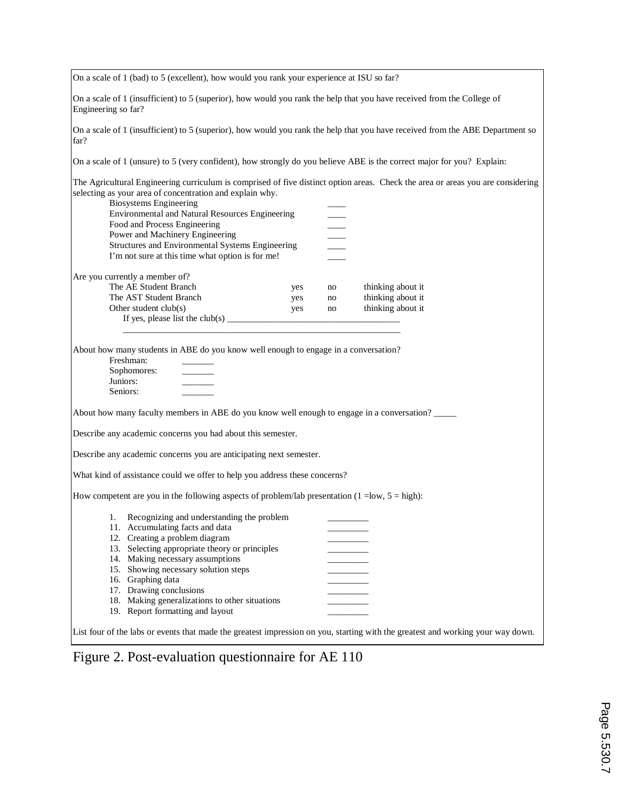| On a scale of 1 (bad) to 5 (excellent), how would you rank your experience at ISU so far?                                                     |     |                 |                   |
|-----------------------------------------------------------------------------------------------------------------------------------------------|-----|-----------------|-------------------|
| On a scale of 1 (insufficient) to 5 (superior), how would you rank the help that you have received from the College of<br>Engineering so far? |     |                 |                   |
| On a scale of 1 (insufficient) to 5 (superior), how would you rank the help that you have received from the ABE Department so<br>far?         |     |                 |                   |
| On a scale of 1 (unsure) to 5 (very confident), how strongly do you believe ABE is the correct major for you? Explain:                        |     |                 |                   |
| The Agricultural Engineering curriculum is comprised of five distinct option areas. Check the area or areas you are considering               |     |                 |                   |
| selecting as your area of concentration and explain why.                                                                                      |     |                 |                   |
| <b>Biosystems Engineering</b>                                                                                                                 |     |                 |                   |
| Environmental and Natural Resources Engineering                                                                                               |     |                 |                   |
| Food and Process Engineering                                                                                                                  |     | $\frac{1}{100}$ |                   |
| Power and Machinery Engineering                                                                                                               |     |                 |                   |
| Structures and Environmental Systems Engineering                                                                                              |     |                 |                   |
| I'm not sure at this time what option is for me!                                                                                              |     |                 |                   |
| Are you currently a member of?                                                                                                                |     |                 |                   |
| The AE Student Branch                                                                                                                         | yes | no              | thinking about it |
| The AST Student Branch                                                                                                                        | yes | no              | thinking about it |
| Other student club(s)                                                                                                                         | yes | no              | thinking about it |
| If yes, please list the club(s) $\frac{1}{\sqrt{1-\frac{1}{2}}}\left\{1-\frac{1}{2}\right\}$                                                  |     |                 |                   |
|                                                                                                                                               |     |                 |                   |
| About how many students in ABE do you know well enough to engage in a conversation?                                                           |     |                 |                   |
| Freshman:                                                                                                                                     |     |                 |                   |
| Sophomores:                                                                                                                                   |     |                 |                   |
| Juniors:                                                                                                                                      |     |                 |                   |
| Seniors:                                                                                                                                      |     |                 |                   |
| About how many faculty members in ABE do you know well enough to engage in a conversation?                                                    |     |                 |                   |
| Describe any academic concerns you had about this semester.                                                                                   |     |                 |                   |
| Describe any academic concerns you are anticipating next semester.                                                                            |     |                 |                   |
|                                                                                                                                               |     |                 |                   |
| What kind of assistance could we offer to help you address these concerns?                                                                    |     |                 |                   |
| How competent are you in the following aspects of problem/lab presentation $(1 = low, 5 = high)$ :                                            |     |                 |                   |
| Recognizing and understanding the problem<br>1.                                                                                               |     |                 |                   |
| 11. Accumulating facts and data                                                                                                               |     |                 |                   |
| 12. Creating a problem diagram                                                                                                                |     |                 |                   |
| 13. Selecting appropriate theory or principles                                                                                                |     |                 |                   |
| 14. Making necessary assumptions                                                                                                              |     |                 |                   |
| 15. Showing necessary solution steps                                                                                                          |     |                 |                   |
| 16. Graphing data                                                                                                                             |     |                 |                   |
| 17. Drawing conclusions                                                                                                                       |     |                 |                   |
| 18. Making generalizations to other situations                                                                                                |     |                 |                   |
| 19. Report formatting and layout                                                                                                              |     |                 |                   |
| List four of the labs or events that made the greatest impression on you, starting with the greatest and working your way down.               |     |                 |                   |

Figure 2. Post-evaluation questionnaire for AE 110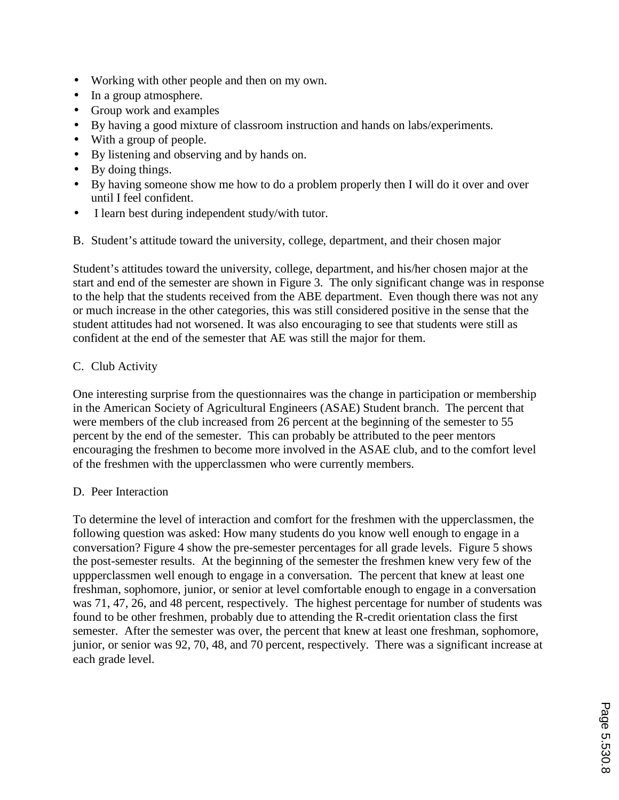- Working with other people and then on my own.
- In a group atmosphere.
- Group work and examples
- By having a good mixture of classroom instruction and hands on labs/experiments.
- With a group of people.
- By listening and observing and by hands on.
- By doing things.
- By having someone show me how to do a problem properly then I will do it over and over until I feel confident.
- I learn best during independent study/with tutor.
- B. Student's attitude toward the university, college, department, and their chosen major

Student's attitudes toward the university, college, department, and his/her chosen major at the start and end of the semester are shown in Figure 3. The only significant change was in response to the help that the students received from the ABE department. Even though there was not any or much increase in the other categories, this was still considered positive in the sense that the student attitudes had not worsened. It was also encouraging to see that students were still as confident at the end of the semester that AE was still the major for them.

# C. Club Activity

One interesting surprise from the questionnaires was the change in participation or membership in the American Society of Agricultural Engineers (ASAE) Student branch. The percent that were members of the club increased from 26 percent at the beginning of the semester to 55 percent by the end of the semester. This can probably be attributed to the peer mentors encouraging the freshmen to become more involved in the ASAE club, and to the comfort level of the freshmen with the upperclassmen who were currently members.

# D. Peer Interaction

To determine the level of interaction and comfort for the freshmen with the upperclassmen, the following question was asked: How many students do you know well enough to engage in a conversation? Figure 4 show the pre-semester percentages for all grade levels. Figure 5 shows the post-semester results. At the beginning of the semester the freshmen knew very few of the uppperclassmen well enough to engage in a conversation. The percent that knew at least one freshman, sophomore, junior, or senior at level comfortable enough to engage in a conversation was 71, 47, 26, and 48 percent, respectively. The highest percentage for number of students was found to be other freshmen, probably due to attending the R-credit orientation class the first semester. After the semester was over, the percent that knew at least one freshman, sophomore, junior, or senior was 92, 70, 48, and 70 percent, respectively. There was a significant increase at each grade level.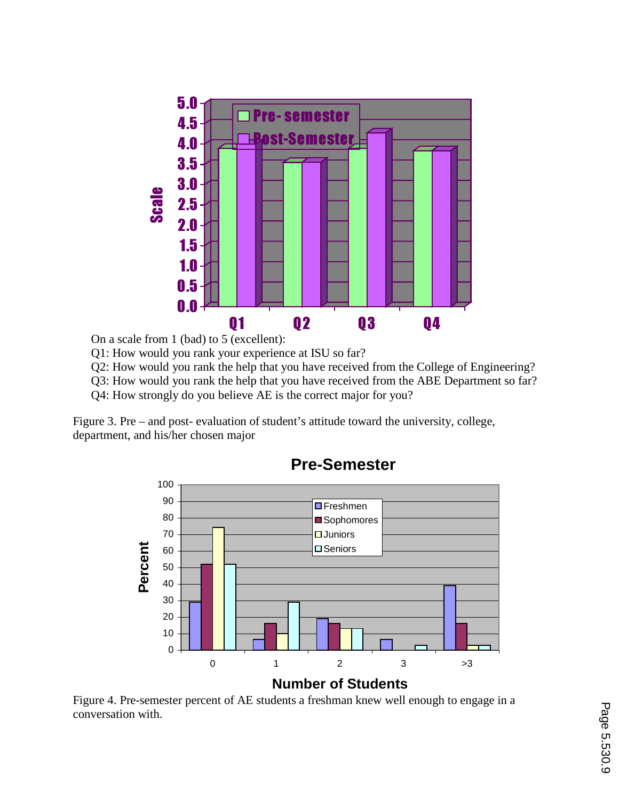

On a scale from 1 (bad) to 5 (excellent):

Q1: How would you rank your experience at ISU so far?

Q2: How would you rank the help that you have received from the College of Engineering?

Q3: How would you rank the help that you have received from the ABE Department so far?

Q4: How strongly do you believe AE is the correct major for you?

Figure 3. Pre – and post- evaluation of student's attitude toward the university, college, department, and his/her chosen major



**Pre-Semester**

Figure 4. Pre-semester percent of AE students a freshman knew well enough to engage in a conversation with.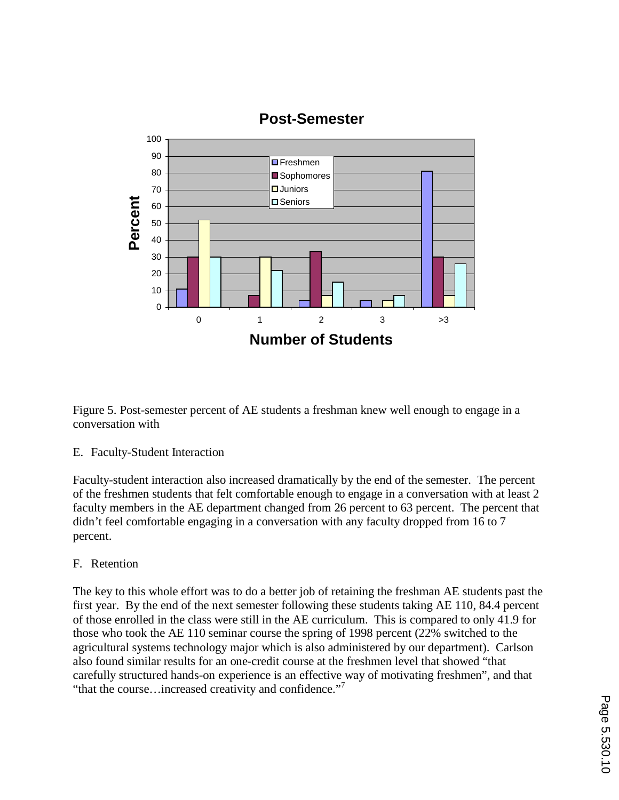

# **Post-Semester**

Figure 5. Post-semester percent of AE students a freshman knew well enough to engage in a conversation with

### E. Faculty-Student Interaction

Faculty-student interaction also increased dramatically by the end of the semester. The percent of the freshmen students that felt comfortable enough to engage in a conversation with at least 2 faculty members in the AE department changed from 26 percent to 63 percent. The percent that didn't feel comfortable engaging in a conversation with any faculty dropped from 16 to 7 percent.

### F. Retention

The key to this whole effort was to do a better job of retaining the freshman AE students past the first year. By the end of the next semester following these students taking AE 110, 84.4 percent of those enrolled in the class were still in the AE curriculum. This is compared to only 41.9 for those who took the AE 110 seminar course the spring of 1998 percent (22% switched to the agricultural systems technology major which is also administered by our department). Carlson also found similar results for an one-credit course at the freshmen level that showed "that carefully structured hands-on experience is an effective way of motivating freshmen", and that "that the course...increased creativity and confidence."<sup>7</sup>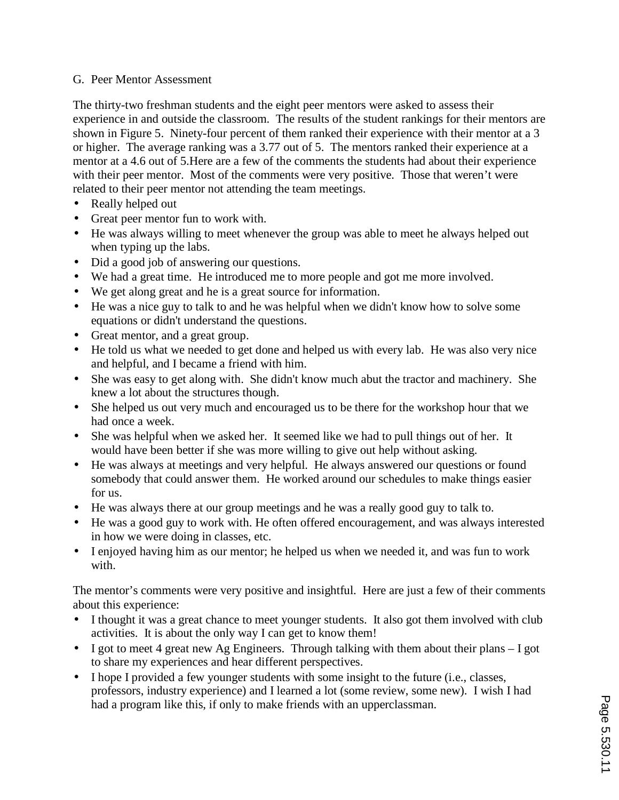### G. Peer Mentor Assessment

The thirty-two freshman students and the eight peer mentors were asked to assess their experience in and outside the classroom. The results of the student rankings for their mentors are shown in Figure 5. Ninety-four percent of them ranked their experience with their mentor at a 3 or higher. The average ranking was a 3.77 out of 5. The mentors ranked their experience at a mentor at a 4.6 out of 5.Here are a few of the comments the students had about their experience with their peer mentor. Most of the comments were very positive. Those that weren't were related to their peer mentor not attending the team meetings.

- Really helped out
- Great peer mentor fun to work with.
- He was always willing to meet whenever the group was able to meet he always helped out when typing up the labs.
- Did a good job of answering our questions.
- We had a great time. He introduced me to more people and got me more involved.
- We get along great and he is a great source for information.
- He was a nice guy to talk to and he was helpful when we didn't know how to solve some equations or didn't understand the questions.
- Great mentor, and a great group.
- He told us what we needed to get done and helped us with every lab. He was also very nice and helpful, and I became a friend with him.
- She was easy to get along with. She didn't know much abut the tractor and machinery. She knew a lot about the structures though.
- She helped us out very much and encouraged us to be there for the workshop hour that we had once a week.
- She was helpful when we asked her. It seemed like we had to pull things out of her. It would have been better if she was more willing to give out help without asking.
- He was always at meetings and very helpful. He always answered our questions or found somebody that could answer them. He worked around our schedules to make things easier for us.
- He was always there at our group meetings and he was a really good guy to talk to.
- He was a good guy to work with. He often offered encouragement, and was always interested in how we were doing in classes, etc.
- I enjoyed having him as our mentor; he helped us when we needed it, and was fun to work with.

The mentor's comments were very positive and insightful. Here are just a few of their comments about this experience:

- I thought it was a great chance to meet younger students. It also got them involved with club activities. It is about the only way I can get to know them!
- I got to meet 4 great new Ag Engineers. Through talking with them about their plans I got to share my experiences and hear different perspectives.
- I hope I provided a few younger students with some insight to the future (i.e., classes, professors, industry experience) and I learned a lot (some review, some new). I wish I had had a program like this, if only to make friends with an upperclassman.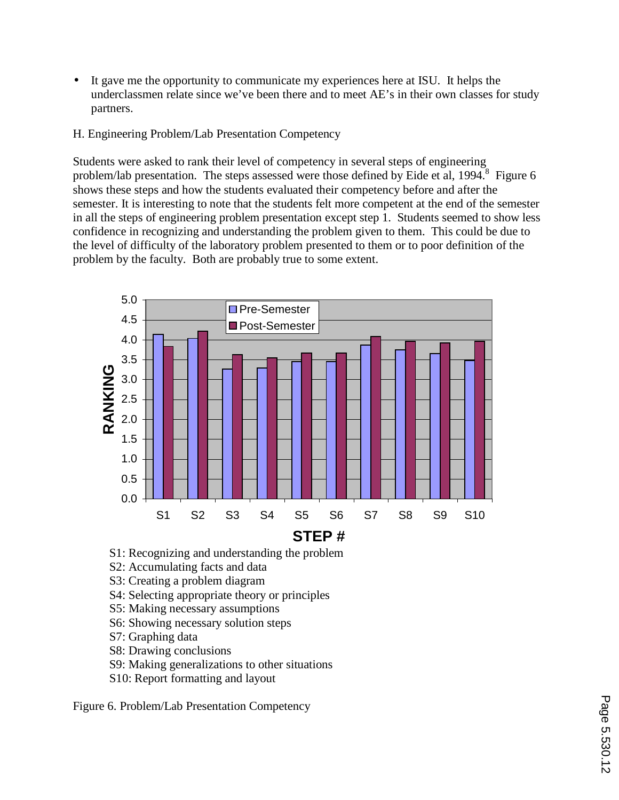- It gave me the opportunity to communicate my experiences here at ISU. It helps the underclassmen relate since we've been there and to meet AE's in their own classes for study partners.
- H. Engineering Problem/Lab Presentation Competency

Students were asked to rank their level of competency in several steps of engineering problem/lab presentation. The steps assessed were those defined by Eide et al, 1994.<sup>8</sup> Figure 6 shows these steps and how the students evaluated their competency before and after the semester. It is interesting to note that the students felt more competent at the end of the semester in all the steps of engineering problem presentation except step 1. Students seemed to show less confidence in recognizing and understanding the problem given to them. This could be due to the level of difficulty of the laboratory problem presented to them or to poor definition of the problem by the faculty. Both are probably true to some extent.



- S1: Recognizing and understanding the problem
- S2: Accumulating facts and data
- S3: Creating a problem diagram
- S4: Selecting appropriate theory or principles
- S5: Making necessary assumptions
- S6: Showing necessary solution steps
- S7: Graphing data
- S8: Drawing conclusions
- S9: Making generalizations to other situations
- S10: Report formatting and layout

Figure 6. Problem/Lab Presentation Competency